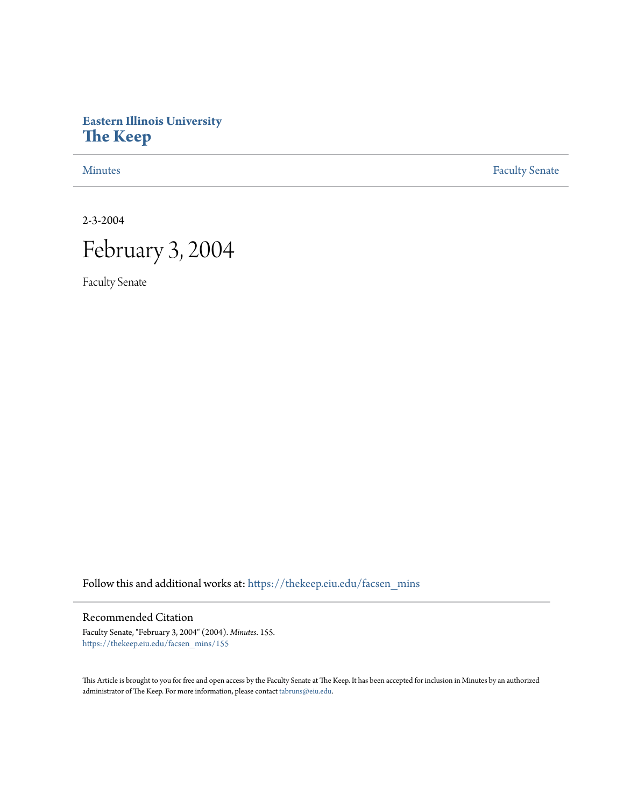# **Eastern Illinois University [The Keep](https://thekeep.eiu.edu?utm_source=thekeep.eiu.edu%2Ffacsen_mins%2F155&utm_medium=PDF&utm_campaign=PDFCoverPages)**

[Minutes](https://thekeep.eiu.edu/facsen_mins?utm_source=thekeep.eiu.edu%2Ffacsen_mins%2F155&utm_medium=PDF&utm_campaign=PDFCoverPages) **[Faculty Senate](https://thekeep.eiu.edu/fac_senate?utm_source=thekeep.eiu.edu%2Ffacsen_mins%2F155&utm_medium=PDF&utm_campaign=PDFCoverPages)** 

2-3-2004

# February 3, 2004

Faculty Senate

Follow this and additional works at: [https://thekeep.eiu.edu/facsen\\_mins](https://thekeep.eiu.edu/facsen_mins?utm_source=thekeep.eiu.edu%2Ffacsen_mins%2F155&utm_medium=PDF&utm_campaign=PDFCoverPages)

# Recommended Citation

Faculty Senate, "February 3, 2004" (2004). *Minutes*. 155. [https://thekeep.eiu.edu/facsen\\_mins/155](https://thekeep.eiu.edu/facsen_mins/155?utm_source=thekeep.eiu.edu%2Ffacsen_mins%2F155&utm_medium=PDF&utm_campaign=PDFCoverPages)

This Article is brought to you for free and open access by the Faculty Senate at The Keep. It has been accepted for inclusion in Minutes by an authorized administrator of The Keep. For more information, please contact [tabruns@eiu.edu.](mailto:tabruns@eiu.edu)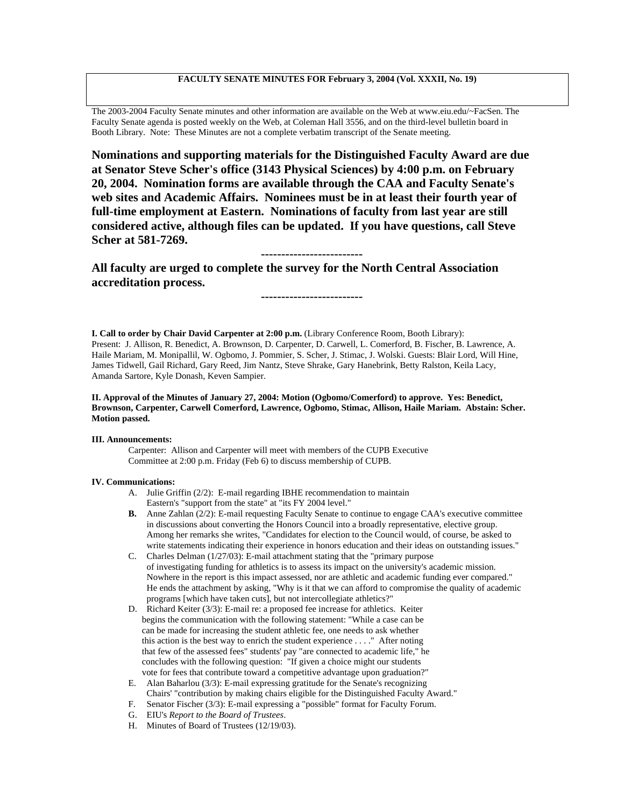### **FACULTY SENATE MINUTES FOR February 3, 2004 (Vol. XXXII, No. 19)**

The 2003-2004 Faculty Senate minutes and other information are available on the Web at www.eiu.edu/~FacSen. The Faculty Senate agenda is posted weekly on the Web, at Coleman Hall 3556, and on the third-level bulletin board in Booth Library. Note: These Minutes are not a complete verbatim transcript of the Senate meeting.

**Nominations and supporting materials for the Distinguished Faculty Award are due at Senator Steve Scher's office (3143 Physical Sciences) by 4:00 p.m. on February 20, 2004. Nomination forms are available through the CAA and Faculty Senate's web sites and Academic Affairs. Nominees must be in at least their fourth year of full-time employment at Eastern. Nominations of faculty from last year are still considered active, although files can be updated. If you have questions, call Steve Scher at 581-7269.**

## **-------------------------**

**-------------------------**

**All faculty are urged to complete the survey for the North Central Association accreditation process.**

**I. Call to order by Chair David Carpenter at 2:00 p.m.** (Library Conference Room, Booth Library): Present: J. Allison, R. Benedict, A. Brownson, D. Carpenter, D. Carwell, L. Comerford, B. Fischer, B. Lawrence, A. Haile Mariam, M. Monipallil, W. Ogbomo, J. Pommier, S. Scher, J. Stimac, J. Wolski. Guests: Blair Lord, Will Hine, James Tidwell, Gail Richard, Gary Reed, Jim Nantz, Steve Shrake, Gary Hanebrink, Betty Ralston, Keila Lacy, Amanda Sartore, Kyle Donash, Keven Sampier.

#### **II. Approval of the Minutes of January 27, 2004: Motion (Ogbomo/Comerford) to approve. Yes: Benedict, Brownson, Carpenter, Carwell Comerford, Lawrence, Ogbomo, Stimac, Allison, Haile Mariam. Abstain: Scher. Motion passed.**

#### **III. Announcements:**

Carpenter: Allison and Carpenter will meet with members of the CUPB Executive Committee at 2:00 p.m. Friday (Feb 6) to discuss membership of CUPB.

#### **IV. Communications:**

- A. Julie Griffin (2/2): E-mail regarding IBHE recommendation to maintain Eastern's "support from the state" at "its FY 2004 level."
- **B.** Anne Zahlan (2/2): E-mail requesting Faculty Senate to continue to engage CAA's executive committee in discussions about converting the Honors Council into a broadly representative, elective group. Among her remarks she writes, "Candidates for election to the Council would, of course, be asked to write statements indicating their experience in honors education and their ideas on outstanding issues."
- C. Charles Delman (1/27/03): E-mail attachment stating that the "primary purpose of investigating funding for athletics is to assess its impact on the university's academic mission. Nowhere in the report is this impact assessed, nor are athletic and academic funding ever compared." He ends the attachment by asking, "Why is it that we can afford to compromise the quality of academic programs [which have taken cuts], but not intercollegiate athletics?"
- D. Richard Keiter (3/3): E-mail re: a proposed fee increase for athletics. Keiter begins the communication with the following statement: "While a case can be can be made for increasing the student athletic fee, one needs to ask whether this action is the best way to enrich the student experience . . . ." After noting that few of the assessed fees" students' pay "are connected to academic life," he concludes with the following question: "If given a choice might our students vote for fees that contribute toward a competitive advantage upon graduation?"
- E. Alan Baharlou (3/3): E-mail expressing gratitude for the Senate's recognizing Chairs' "contribution by making chairs eligible for the Distinguished Faculty Award."
- F. Senator Fischer (3/3): E-mail expressing a "possible" format for Faculty Forum.
- G. EIU's *Report to the Board of Trustees*.
- H. Minutes of Board of Trustees (12/19/03).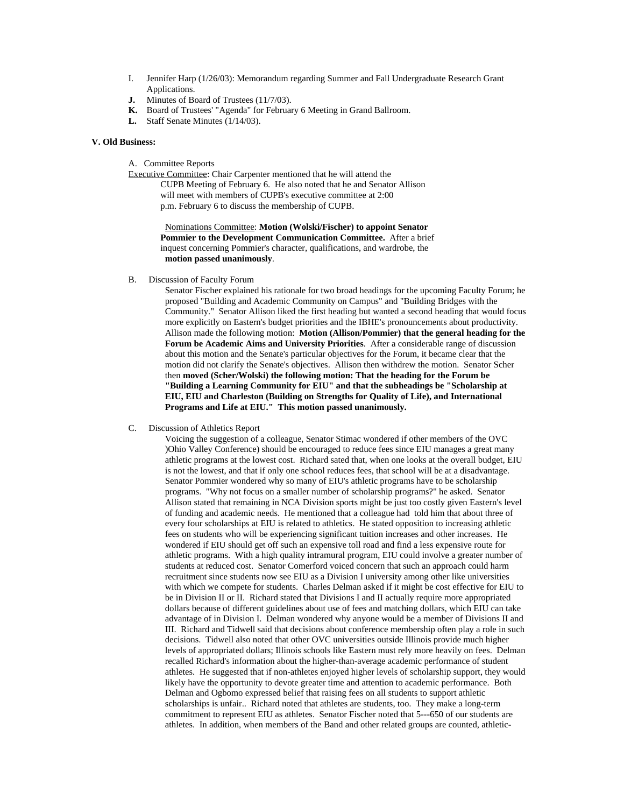- I. Jennifer Harp (1/26/03): Memorandum regarding Summer and Fall Undergraduate Research Grant Applications.
- **J.** Minutes of Board of Trustees (11/7/03).
- **K.** Board of Trustees' "Agenda" for February 6 Meeting in Grand Ballroom.
- **L.** Staff Senate Minutes (1/14/03).

#### **V. Old Business:**

A. Committee Reports

Executive Committee: Chair Carpenter mentioned that he will attend the CUPB Meeting of February 6. He also noted that he and Senator Allison will meet with members of CUPB's executive committee at 2:00 p.m. February 6 to discuss the membership of CUPB.

> Nominations Committee: **Motion (Wolski/Fischer) to appoint Senator Pommier to the Development Communication Committee.** After a brief inquest concerning Pommier's character, qualifications, and wardrobe, the **motion passed unanimously**.

B. Discussion of Faculty Forum

Senator Fischer explained his rationale for two broad headings for the upcoming Faculty Forum; he proposed "Building and Academic Community on Campus" and "Building Bridges with the Community." Senator Allison liked the first heading but wanted a second heading that would focus more explicitly on Eastern's budget priorities and the IBHE's pronouncements about productivity. Allison made the following motion: **Motion (Allison/Pommier) that the general heading for the Forum be Academic Aims and University Priorities**. After a considerable range of discussion about this motion and the Senate's particular objectives for the Forum, it became clear that the motion did not clarify the Senate's objectives. Allison then withdrew the motion. Senator Scher then **moved (Scher/Wolski) the following motion: That the heading for the Forum be "Building a Learning Community for EIU" and that the subheadings be "Scholarship at EIU, EIU and Charleston (Building on Strengths for Quality of Life), and International Programs and Life at EIU." This motion passed unanimously.**

C. Discussion of Athletics Report

Voicing the suggestion of a colleague, Senator Stimac wondered if other members of the OVC )Ohio Valley Conference) should be encouraged to reduce fees since EIU manages a great many athletic programs at the lowest cost. Richard sated that, when one looks at the overall budget, EIU is not the lowest, and that if only one school reduces fees, that school will be at a disadvantage. Senator Pommier wondered why so many of EIU's athletic programs have to be scholarship programs. "Why not focus on a smaller number of scholarship programs?" he asked. Senator Allison stated that remaining in NCA Division sports might be just too costly given Eastern's level of funding and academic needs. He mentioned that a colleague had told him that about three of every four scholarships at EIU is related to athletics. He stated opposition to increasing athletic fees on students who will be experiencing significant tuition increases and other increases. He wondered if EIU should get off such an expensive toll road and find a less expensive route for athletic programs. With a high quality intramural program, EIU could involve a greater number of students at reduced cost. Senator Comerford voiced concern that such an approach could harm recruitment since students now see EIU as a Division I university among other like universities with which we compete for students. Charles Delman asked if it might be cost effective for EIU to be in Division II or II. Richard stated that Divisions I and II actually require more appropriated dollars because of different guidelines about use of fees and matching dollars, which EIU can take advantage of in Division I. Delman wondered why anyone would be a member of Divisions II and III. Richard and Tidwell said that decisions about conference membership often play a role in such decisions. Tidwell also noted that other OVC universities outside Illinois provide much higher levels of appropriated dollars; Illinois schools like Eastern must rely more heavily on fees. Delman recalled Richard's information about the higher-than-average academic performance of student athletes. He suggested that if non-athletes enjoyed higher levels of scholarship support, they would likely have the opportunity to devote greater time and attention to academic performance. Both Delman and Ogbomo expressed belief that raising fees on all students to support athletic scholarships is unfair.. Richard noted that athletes are students, too. They make a long-term commitment to represent EIU as athletes. Senator Fischer noted that 5---650 of our students are athletes. In addition, when members of the Band and other related groups are counted, athletic